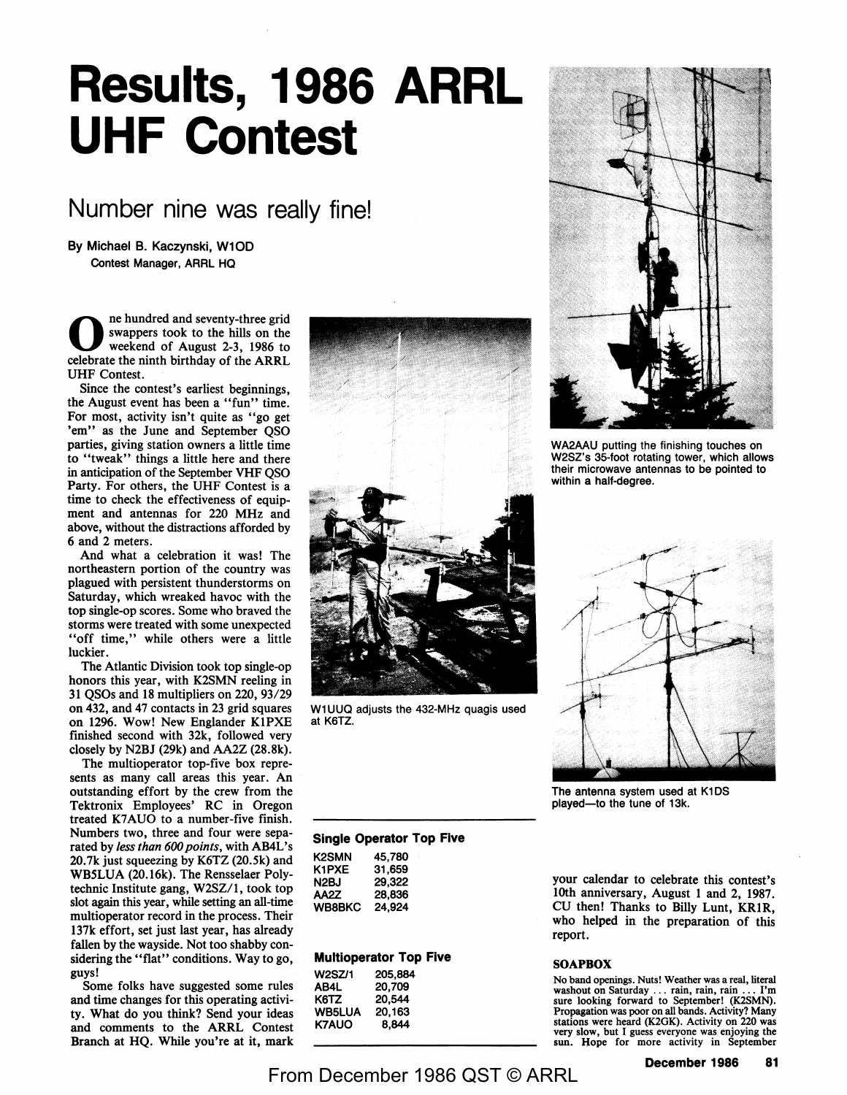# **Results, 1986 ARRL UHF Contest**

## Number nine was really fine!

**By Michael B. Kaczynski, W10D Contest Manager,** ARRL HQ

ne hundred and seventy-three grid swappers took to the hills on the weekend of August 2-3, 1986 to celebrate the ninth birthday of the ARRL UHF Contest.

Since the contest's earliest beginnings, the August event has been a "fun" time. For most, activity isn't quite as "go get 'em'' as the June and September OSO parties, giving station owners a little time to "tweak" things a little here and there in anticipation of the September VHF QSO Party. For others, the UHF Contest is a time to check the effectiveness of equipment and antennas for 220 MHz and above, without the distractions afforded by 6 and 2 meters.

And what a celebration it was! The northeastern portion of the country was plagued with persistent thunderstorms on Saturday, which wreaked havoc with the top single-op scores. Some who braved the storms were treated with some unexpected "off time," while others were a little luckier.

The Atlantic Division took top single-op honors this year, with K2SMN reeling in 31 QSOs and 18 multipliers on 220, 93/29 on 432, and 47 contacts in 23 grid squares on 1296. Wow! New Englander KlPXE finished second with 32k, followed very closely by N2BJ (29k) and AA2Z (28.8k).

The multioperator top-five box represents as many call areas this year. An outstanding effort by the crew from the Tektronix Employees' RC in Oregon treated K7AUO to a number-five finish. Numbers two, three and four were separated by *less than 600 points,* with AB4L's 20. 7k just squeezing by K6TZ (20.5k) and WB5LUA (20.16k). The Rensselaer Polytechnic Institute gang, W2SZ/l, took top slot again this year, while setting an all-time multioperator record in the process. Their 137k effort, set just last year, has already fallen by the wayside. Not too shabby considering the "flat" conditions. Way to go, guys!

Some folks have suggested some rules and time changes for this operating activity. What do you think? Send your ideas and comments to the ARRL Contest Branch at HQ. While you're at it, mark



W1 UUQ adjusts the 432-MHz quagis used at K6TZ.



WA2AAU putting the finishing touches on W2SZ's 35-foot rotating tower, which allows their microwave antennas to be pointed to within a half-degree.



The antenna system used at K1DS played-to the tune of 13k.

#### **Single Operator Top Five**

| K2SMN         | 45.780 |
|---------------|--------|
| K1PXE         | 31.659 |
| N2BJ          | 29,322 |
| AA2Z          | 28,836 |
| <b>WB8BKC</b> | 24,924 |

#### **Multloperator Top Five**

| <b>W2SZ/1</b> | 205.884 |  |
|---------------|---------|--|
| AB4L          | 20.709  |  |
| K6TZ          | 20.544  |  |
| <b>WB5LUA</b> | 20,163  |  |
| <b>K7AUO</b>  | 8.844   |  |
|               |         |  |

your calendar to celebrate this contest's 10th anniversary, August 1 and 2, 1987. CU then! Thanks to Billy Lunt, **KRIR,**  who helped in the preparation of this report.

#### **SOAPBOX**

No band openings. Nuts! Weather was a real, literal washout on Saturday ... rain, rain, rain ... I'm sure looking forward to September! (K2SMN). Propagation was poor on all bands. Activity? Many stations were heard (K2GK). Activity on 220 was very slow, but I guess everyone was enjoying the sun. Hope for more activity in September

From December 1986 QST © ARRL